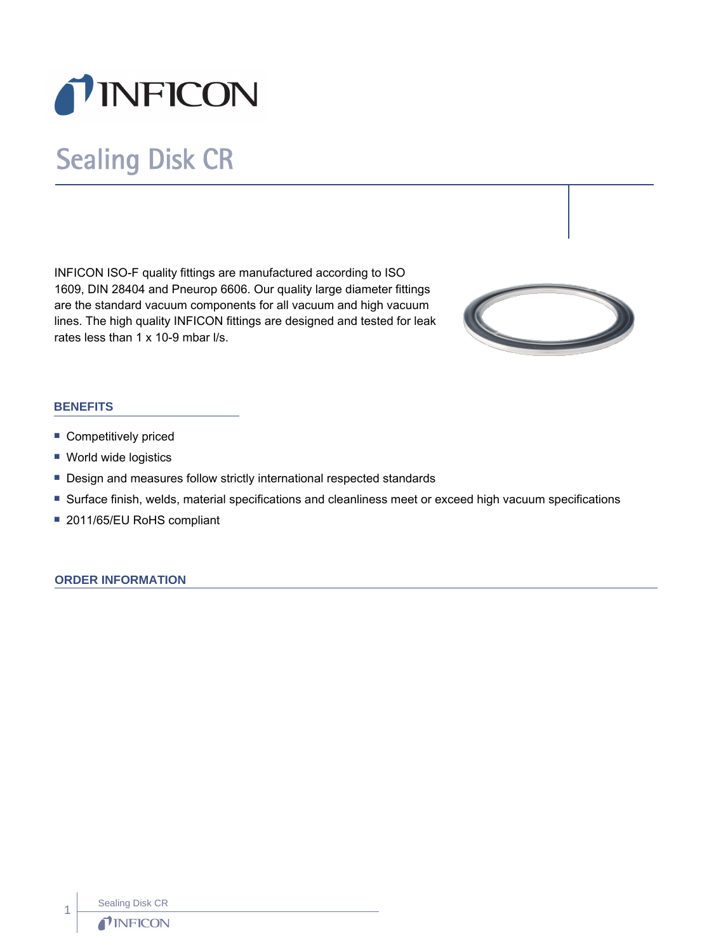

# Sealing Disk CR

INFICON ISO-F quality fittings are manufactured according to ISO 1609, DIN 28404 and Pneurop 6606. Our quality large diameter fittings are the standard vacuum components for all vacuum and high vacuum lines. The high quality INFICON fittings are designed and tested for leak rates less than 1 x 10-9 mbar l/s.



# **BENEFITS**

- **Competitively priced**
- World wide logistics
- Design and measures follow strictly international respected standards
- n Surface finish, welds, material specifications and cleanliness meet or exceed high vacuum specifications
- 2011/65/EU RoHS compliant

#### **ORDER INFORMATION**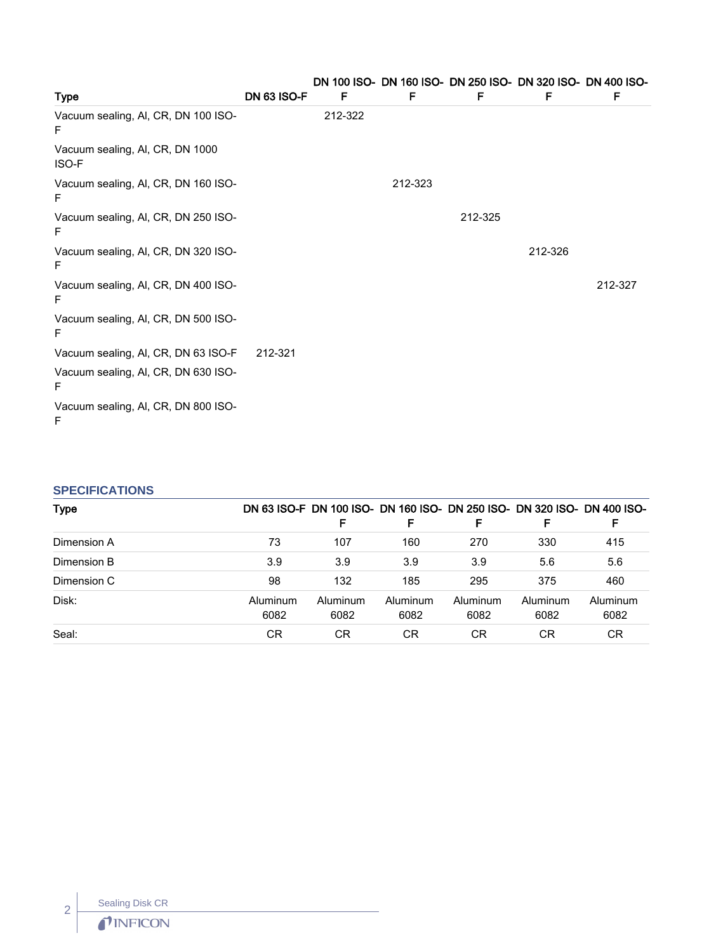| <b>Type</b>                                     | <b>DN 63 ISO-F</b> | F       | DN 100 ISO- DN 160 ISO- DN 250 ISO- DN 320 ISO- DN 400 ISO-<br>F | F       | F       | F       |
|-------------------------------------------------|--------------------|---------|------------------------------------------------------------------|---------|---------|---------|
| Vacuum sealing, Al, CR, DN 100 ISO-<br>F        |                    | 212-322 |                                                                  |         |         |         |
| Vacuum sealing, AI, CR, DN 1000<br><b>ISO-F</b> |                    |         |                                                                  |         |         |         |
| Vacuum sealing, Al, CR, DN 160 ISO-<br>F        |                    |         | 212-323                                                          |         |         |         |
| Vacuum sealing, Al, CR, DN 250 ISO-<br>F        |                    |         |                                                                  | 212-325 |         |         |
| Vacuum sealing, Al, CR, DN 320 ISO-<br>F        |                    |         |                                                                  |         | 212-326 |         |
| Vacuum sealing, AI, CR, DN 400 ISO-<br>F        |                    |         |                                                                  |         |         | 212-327 |
| Vacuum sealing, AI, CR, DN 500 ISO-<br>F        |                    |         |                                                                  |         |         |         |
| Vacuum sealing, AI, CR, DN 63 ISO-F             | 212-321            |         |                                                                  |         |         |         |
| Vacuum sealing, AI, CR, DN 630 ISO-<br>F        |                    |         |                                                                  |         |         |         |
| Vacuum sealing, Al, CR, DN 800 ISO-<br>F        |                    |         |                                                                  |         |         |         |

# **SPECIFICATIONS**

| <b>Type</b> |                  | F                | F                | F                | F.               | DN 63 ISO-F DN 100 ISO- DN 160 ISO- DN 250 ISO- DN 320 ISO- DN 400 ISO-<br>F |
|-------------|------------------|------------------|------------------|------------------|------------------|------------------------------------------------------------------------------|
| Dimension A | 73               | 107              | 160              | 270              | 330              | 415                                                                          |
| Dimension B | 3.9              | 3.9              | 3.9              | 3.9              | 5.6              | 5.6                                                                          |
| Dimension C | 98               | 132              | 185              | 295              | 375              | 460                                                                          |
| Disk:       | Aluminum<br>6082 | Aluminum<br>6082 | Aluminum<br>6082 | Aluminum<br>6082 | Aluminum<br>6082 | Aluminum<br>6082                                                             |
| Seal:       | СR               | CR.              | CR               | CR.              | CR               | <b>CR</b>                                                                    |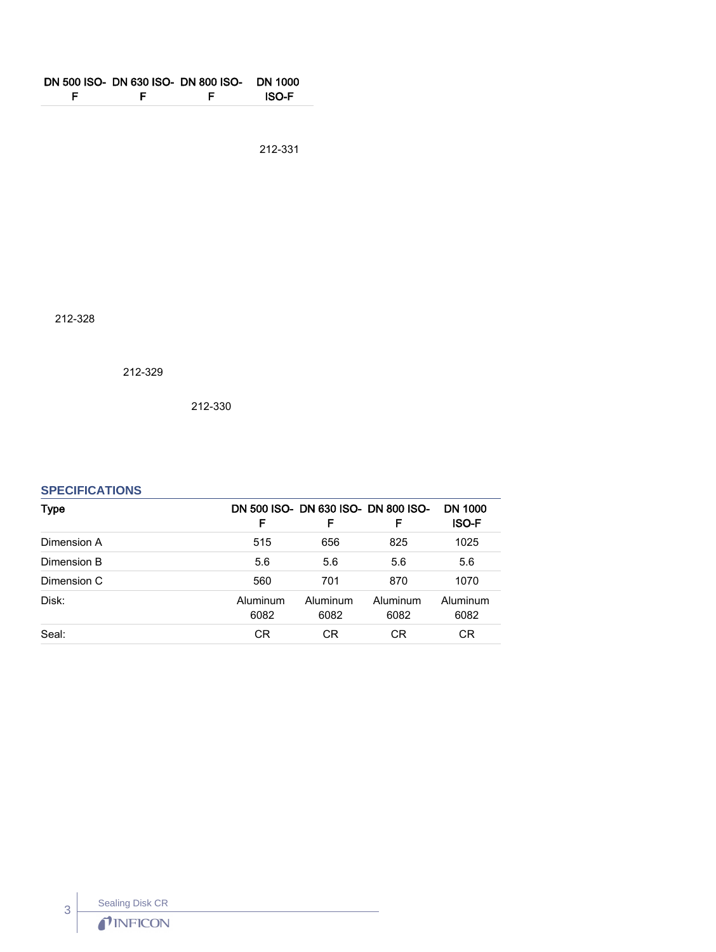| F | F | DN 500 ISO- DN 630 ISO- DN 800 ISO-<br>F | DN 1000<br><b>ISO-F</b> |
|---|---|------------------------------------------|-------------------------|
|   |   |                                          | 212-331                 |

212-328

212-329

212-330

# **SPECIFICATIONS**

| Type        | F                | DN 500 ISO- DN 630 ISO- DN 800 ISO-<br>F | F                | <b>DN 1000</b><br><b>ISO-F</b> |
|-------------|------------------|------------------------------------------|------------------|--------------------------------|
| Dimension A | 515              | 656                                      | 825              | 1025                           |
| Dimension B | 5.6              | 5.6                                      | 5.6              | 5.6                            |
| Dimension C | 560              | 701                                      | 870              | 1070                           |
| Disk:       | Aluminum<br>6082 | Aluminum<br>6082                         | Aluminum<br>6082 | Aluminum<br>6082               |
| Seal:       | <b>CR</b>        | СR                                       | СR               | СR                             |